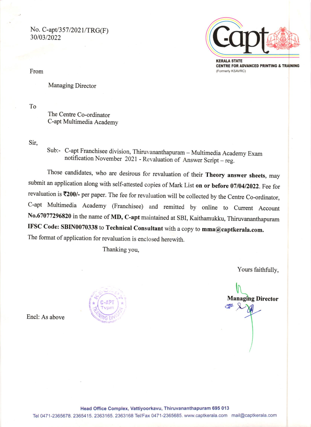No. C-apt/357/2021/TRG(F)<br>30/03/2022



**KERALA STATE** CENTRE FOR ADVANCED PRINTING & TRAINING (Formerly KSAVRC)

From

Managing Director

To

The Centre Co-ordinator C-apt Multimedia Academy

Sir,

Sub:- C-apt Franchisee division, Thiruvananthapuram - Multimedia Academy Exam notification November 2021 - Revaluation of Answer Script - reg.

Those candidates, who are desirous for revaluation of their Theory answer sheets, may submit an application along with self-attested copies of Mark List on or before 07/04/2022. Fee for revaluation is ₹200/- per paper. The fee for revaluation will be collected by the Centre Co-ordinator, c-apt Multimedia Academy (Franchisee) and remitted by online to current Account No.67077296820 in the name of MD, c-apt maintained at SBI, Kaithamukku, Thiruvananthapuram IFSC Code: SBIN0070338 to Technical Consultant with a copy to mma@captkerala.com. The format of application for revaluation is enclosed herewith.

Thanking you,

Yours faithfully,

 $\mathsf{U}\mathsf{I}$ Managing Director

**A CHAPP** 

Encl: As above